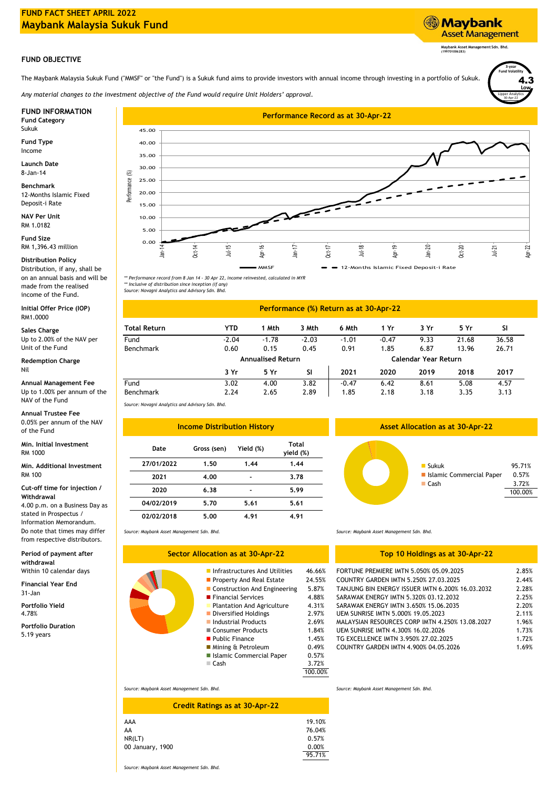## **FUND FACT SHEET APRIL 2022 Maybank Malaysia Sukuk Fund**

## **FUND OBJECTIVE**

The Maybank Malaysia Sukuk Fund ("MMSF" or "the Fund") is a Sukuk fund aims to provide investors with annual income through investing in a portfolio of Sukuk.

*Any material changes to the investment objective of the Fund would require Unit Holders' approval.*

## Sukuk

**Fund Type** Income

**Launch Date** 8-Jan-14

12-Months Islamic Fixed Deposit-i Rate **Benchmark**

**NAV Per Unit** RM 1.0182

RM 1,396.43 million **Fund Size**

**Distribution Policy** Distribution, if any, shall be on an annual basis and will be made from the realised income of the Fund.

**Initial Offer Price (IOP)** RM1.0000

Up to 2.00% of the NAV per Unit of the Fund **Sales Charge**

**Redemption Charge** Nil

#### **Annual Management Fee** Up to 1.00% per annum of the NAV of the Fund

**Annual Trustee Fee** of the Fund

#### **Cut-off time for injection / Withdrawal**

4.00 p.m. on a Business Day as stated in Prospectus / Information Memorandum. Do note that times may differ from respective distributors.

**Period of payment after withdrawal** Within 10 calendar days **19 Contract of the Contract of Contract of Contract of Contract of Contract of Contract of Contract of Contract of Contract of Contract of Contract of Contract of Contract of Contract of Contract o** 



*\*\* Performance record from 8 Jan 14 - 30 Apr 22, income reinvested, calculated in MYR \*\* Inclusive of distribution since inception (if any) Source: Novagni Analytics and Advisory Sdn. Bhd.*

### **Performance (%) Return as at 30-Apr-22**

| <b>Total Return</b> | <b>YTD</b>               | 1 Mth   | 3 Mth     | 6 Mth                | 1 Yr    | 3 Yr | 5 Yr  | SI    |
|---------------------|--------------------------|---------|-----------|----------------------|---------|------|-------|-------|
| Fund                | $-2.04$                  | $-1.78$ | $-2.03$   | $-1.01$              | $-0.47$ | 9.33 | 21.68 | 36.58 |
| Benchmark           | 0.60                     | 0.15    | 0.45      | 0.91                 | 1.85    | 6.87 | 13.96 | 26.71 |
|                     | <b>Annualised Return</b> |         |           | Calendar Year Return |         |      |       |       |
|                     | 3 Yr                     | 5 Yr    | <b>SI</b> | 2021                 | 2020    | 2019 | 2018  | 2017  |
| Fund                | 3.02                     | 4.00    | 3.82      | $-0.47$              | 6.42    | 8.61 | 5.08  | 4.57  |
| Benchmark           | 2.24                     | 2.65    | 2.89      | 1.85                 | 2.18    | 3.18 | 3.35  | 3.13  |

100.00% 3.72%

0.57%

*Source: Novagni Analytics and Advisory Sdn. Bhd.*

*Source: Maybank Asset Management Sdn. Bhd.*

| 0.05% per annum of the NAV<br>of the Fund        |            | <b>Income Distribution History</b> |           |                           | <b>Asset Allocation as at 30-Apr-22</b> |                 |
|--------------------------------------------------|------------|------------------------------------|-----------|---------------------------|-----------------------------------------|-----------------|
| Min. Initial Investment<br>RM 1000               | Date       | Gross (sen)                        | Yield (%) | <b>Total</b><br>yield (%) |                                         |                 |
| Min. Additional Investment                       | 27/01/2022 | 1.50                               | 1.44      | 1.44                      | $\blacksquare$ Sukuk                    | 95.71%          |
| RM 100                                           | 2021       | 4.00                               |           | 3.78                      | Islamic Commercial Paper                | 0.57%           |
| Cut-off time for injection /<br>Withdrawal       | 2020       | 6.38                               |           | 5.99                      | $\blacksquare$ Cash                     | 3.72%<br>100.00 |
| 4.00 p.m. on a Business Day as                   | 04/02/2019 | 5.70                               | 5.61      | 5.61                      |                                         |                 |
| stated in Prospectus /<br>Information Memorandum | 02/02/2018 | 5.00                               | 4.91      | 4.91                      |                                         |                 |

**Sector Allocation as at 30-Apr-22**

**In Islamic Commercial Paper** 

*Source: Maybank Asset Management Sdn. Bhd.*

### **Top 10 Holdings as at 30-Apr-22**

| ,,,,,,,,,,,,,,,,          |                                   |              |                                                         |       |
|---------------------------|-----------------------------------|--------------|---------------------------------------------------------|-------|
| Within 10 calendar days   | Infrastructures And Utilities     | 46.66%       | FORTUNE PREMIERE IMTN 5.050% 05.09.2025                 | 2.85% |
| <b>Financial Year End</b> | Property And Real Estate          | 24.55%       | COUNTRY GARDEN IMTN 5.250% 27.03.2025                   | 2.44% |
| $31 - Jan$                | Construction And Engineering      | 5.87%        | <b>TANJUNG BIN ENERGY ISSUER IMTN 6.200% 16.03.2032</b> | 2.28% |
|                           | <b>Financial Services</b>         | 4.88%        | SARAWAK ENERGY IMTN 5.320% 03.12.2032                   | 2.25% |
| Portfolio Yield           | <b>Plantation And Agriculture</b> | 4.31%        | SARAWAK ENERGY IMTN 3.650% 15.06.2035                   | 2.20% |
| 4.78%                     | Diversified Holdings              | 2.97%        | UEM SUNRISE IMTN 5.000% 19.05.2023                      | 2.11% |
| <b>Portfolio Duration</b> | Industrial Products               | 2.69%        | MALAYSIAN RESOURCES CORP IMTN 4.250% 13.08.2027         | 1.96% |
|                           | Consumer Products                 | 1.84%        | UEM SUNRISE IMTN 4.300% 16.02.2026                      | 1.73% |
| 5.19 years                | <b>Public Finance</b>             | 1.45%        | TG EXCELLENCE IMTN 3.950% 27.02.2025                    | 1.72% |
|                           | Mining & Petroleum                | 0.49%        | COUNTRY GARDEN IMTN 4.900% 04.05.2026                   | 1.69% |
|                           | Islamic Commorcial Danor          | $\Omega$ 57% |                                                         |       |

*Source: Maybank Asset Management Sdn. Bhd.*

| <b>Credit Ratings as at 30-Apr-22</b> |        |
|---------------------------------------|--------|
| AAA                                   | 19.10% |
| AA                                    | 76.04% |
| NR(LT)                                | 0.57%  |
| 00 January, 1900                      | 0.00%  |
|                                       | 95.71% |

■ Cash

*Source: Maybank Asset Management Sdn. Bhd.*

*Source: Maybank Asset Management Sdn. Bhd.*

# **Sukuk**

100.00%

Lipper Analytics

30-Apr-22

**Low** 4.3

**3-year Fund Volatility**

**Maybank Asset Management Sdn. Bhd. (199701006283)**

**Asset Management** 

**Maybank**